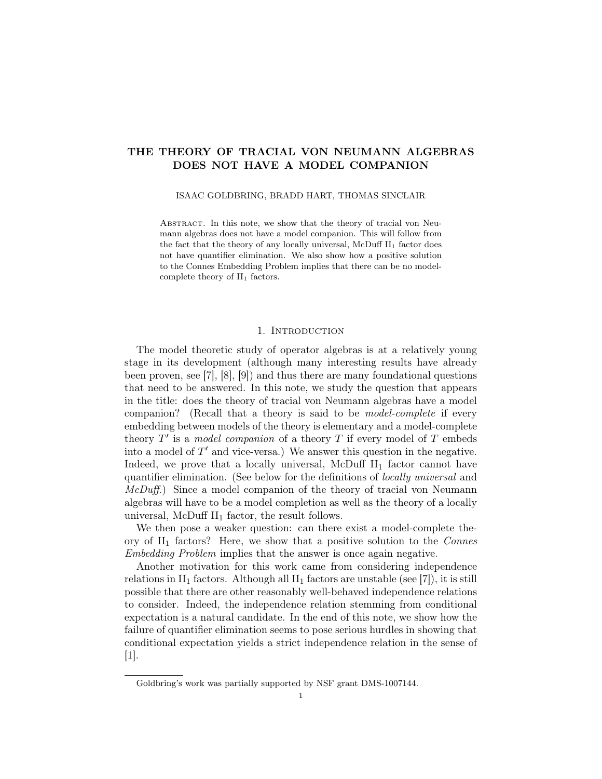# THE THEORY OF TRACIAL VON NEUMANN ALGEBRAS DOES NOT HAVE A MODEL COMPANION

#### ISAAC GOLDBRING, BRADD HART, THOMAS SINCLAIR

ABSTRACT. In this note, we show that the theory of tracial von Neumann algebras does not have a model companion. This will follow from the fact that the theory of any locally universal, McDuff  $II_1$  factor does not have quantifier elimination. We also show how a positive solution to the Connes Embedding Problem implies that there can be no modelcomplete theory of  $II_1$  factors.

## 1. INTRODUCTION

The model theoretic study of operator algebras is at a relatively young stage in its development (although many interesting results have already been proven, see [7], [8], [9]) and thus there are many foundational questions that need to be answered. In this note, we study the question that appears in the title: does the theory of tracial von Neumann algebras have a model companion? (Recall that a theory is said to be model-complete if every embedding between models of the theory is elementary and a model-complete theory  $T'$  is a model companion of a theory  $T$  if every model of  $T$  embeds into a model of  $T'$  and vice-versa.) We answer this question in the negative. Indeed, we prove that a locally universal, McDuff  $II_1$  factor cannot have quantifier elimination. (See below for the definitions of locally universal and McDuff.) Since a model companion of the theory of tracial von Neumann algebras will have to be a model completion as well as the theory of a locally universal, McDuff  $II_1$  factor, the result follows.

We then pose a weaker question: can there exist a model-complete theory of  $II_1$  factors? Here, we show that a positive solution to the Connes Embedding Problem implies that the answer is once again negative.

Another motivation for this work came from considering independence relations in  $II_1$  factors. Although all  $II_1$  factors are unstable (see [7]), it is still possible that there are other reasonably well-behaved independence relations to consider. Indeed, the independence relation stemming from conditional expectation is a natural candidate. In the end of this note, we show how the failure of quantifier elimination seems to pose serious hurdles in showing that conditional expectation yields a strict independence relation in the sense of [1].

Goldbring's work was partially supported by NSF grant DMS-1007144.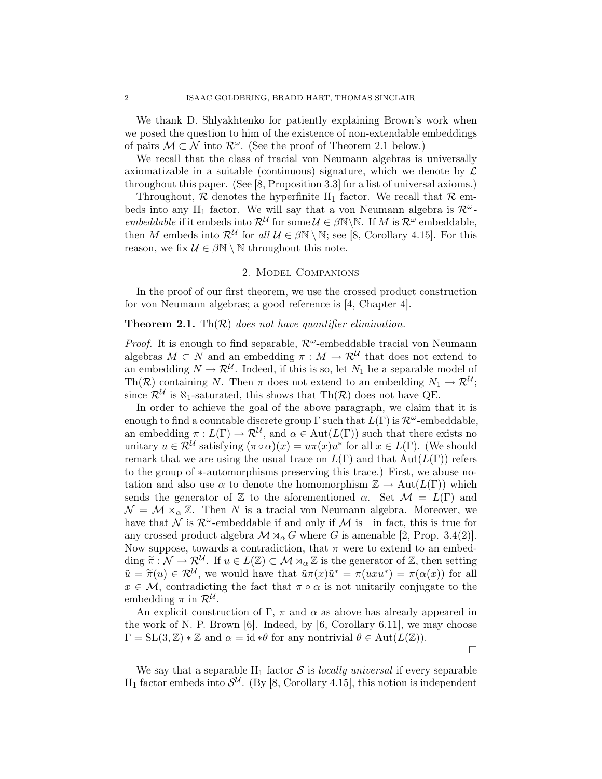We thank D. Shlyakhtenko for patiently explaining Brown's work when we posed the question to him of the existence of non-extendable embeddings of pairs  $M \subset \mathcal{N}$  into  $\mathcal{R}^{\omega}$ . (See the proof of Theorem 2.1 below.)

We recall that the class of tracial von Neumann algebras is universally axiomatizable in a suitable (continuous) signature, which we denote by  $\mathcal L$ throughout this paper. (See [8, Proposition 3.3] for a list of universal axioms.)

Throughout,  $R$  denotes the hyperfinite  $II_1$  factor. We recall that  $R$  embeds into any II<sub>1</sub> factor. We will say that a von Neumann algebra is  $\mathcal{R}^{\omega}$ embeddable if it embeds into  $\mathcal{R}^{\mathcal{U}}$  for some  $\mathcal{U} \in \beta \mathbb{N} \backslash \mathbb{N}$ . If M is  $\mathcal{R}^{\omega}$  embeddable, then M embeds into  $\mathcal{R}^{\mathcal{U}}$  for all  $\mathcal{U} \in \beta \mathbb{N} \setminus \mathbb{N}$ ; see [8, Corollary 4.15]. For this reason, we fix  $\mathcal{U} \in \beta \mathbb{N} \setminus \mathbb{N}$  throughout this note.

#### 2. Model Companions

In the proof of our first theorem, we use the crossed product construction for von Neumann algebras; a good reference is [4, Chapter 4].

## **Theorem 2.1.** Th $(R)$  does not have quantifier elimination.

*Proof.* It is enough to find separable,  $\mathcal{R}^{\omega}$ -embeddable tracial von Neumann algebras  $M \subset N$  and an embedding  $\pi : M \to \mathcal{R}^{\mathcal{U}}$  that does not extend to an embedding  $N \to \mathcal{R}^{\mathcal{U}}$ . Indeed, if this is so, let  $N_1$  be a separable model of Th(R) containing N. Then  $\pi$  does not extend to an embedding  $N_1 \to \mathcal{R}^{\mathcal{U}}$ ; since  $\mathcal{R}^{\mathcal{U}}$  is  $\aleph_1$ -saturated, this shows that Th $(\mathcal{R})$  does not have QE.

In order to achieve the goal of the above paragraph, we claim that it is enough to find a countable discrete group  $\Gamma$  such that  $L(\Gamma)$  is  $\mathcal{R}^{\omega}$ -embeddable, an embedding  $\pi: L(\Gamma) \to \mathcal{R}^{\mathcal{U}},$  and  $\alpha \in Aut(L(\Gamma))$  such that there exists no unitary  $u \in \mathcal{R}^{\mathcal{U}}$  satisfying  $(\pi \circ \alpha)(x) = u\pi(x)u^*$  for all  $x \in L(\Gamma)$ . (We should remark that we are using the usual trace on  $L(\Gamma)$  and that  $Aut(L(\Gamma))$  refers to the group of ∗-automorphisms preserving this trace.) First, we abuse notation and also use  $\alpha$  to denote the homomorphism  $\mathbb{Z} \to \text{Aut}(L(\Gamma))$  which sends the generator of Z to the aforementioned  $\alpha$ . Set  $\mathcal{M} = L(\Gamma)$  and  $\mathcal{N} = \mathcal{M} \rtimes_{\alpha} \mathbb{Z}$ . Then N is a tracial von Neumann algebra. Moreover, we have that N is  $\mathcal{R}^{\omega}$ -embeddable if and only if M is—in fact, this is true for any crossed product algebra  $\mathcal{M} \rtimes_{\alpha} G$  where G is amenable [2, Prop. 3.4(2)]. Now suppose, towards a contradiction, that  $\pi$  were to extend to an embed- $\dim \widetilde{\pi}: \mathcal{N} \to \mathcal{R}^{\mathcal{U}}$ . If  $u \in L(\mathbb{Z}) \subset \mathcal{M} \rtimes_{\alpha} \mathbb{Z}$  is the generator of  $\mathbb{Z}$ , then setting  $\widetilde{\pi} = \widetilde{\pi}(\omega) \subset \mathcal{P}^{\mathcal{U}}$  we would have that  $\widetilde{\pi}(\pi) \widetilde{\pi}^* = \pi(\omega x^*) = \pi(\omega(x))$  for all  $\tilde{u} = \tilde{\pi}(u) \in \mathcal{R}^{\mathcal{U}}$ , we would have that  $\tilde{u}\pi(x)\tilde{u}^* = \pi(uxu^*) = \pi(\alpha(x))$  for all  $x \in \mathcal{M}$  controllering the fact that  $\pi \circ \alpha$  is not unitarily conjugate to the  $x \in \mathcal{M}$ , contradicting the fact that  $\pi \circ \alpha$  is not unitarily conjugate to the embedding  $\pi$  in  $\mathcal{R}^{\mathcal{U}}$ .

An explicit construction of Γ, π and  $\alpha$  as above has already appeared in the work of N. P. Brown  $[6]$ . Indeed, by  $[6,$  Corollary 6.11, we may choose  $\Gamma = SL(3, \mathbb{Z}) * \mathbb{Z}$  and  $\alpha = id * \theta$  for any nontrivial  $\theta \in Aut(L(\mathbb{Z}))$ .

 $\Box$ 

We say that a separable  $II_1$  factor  $S$  is *locally universal* if every separable II<sub>1</sub> factor embeds into  $\mathcal{S}^{\mathcal{U}}$ . (By [8, Corollary 4.15], this notion is independent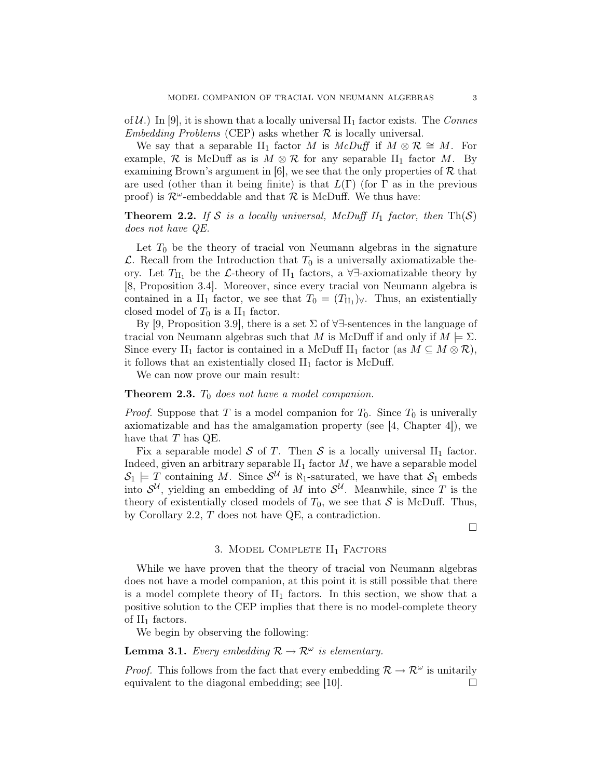of  $\mathcal{U}$ .) In [9], it is shown that a locally universal  $II_1$  factor exists. The Connes Embedding Problems (CEP) asks whether  $R$  is locally universal.

We say that a separable II<sub>1</sub> factor M is McDuff if  $M \otimes \mathcal{R} \cong M$ . For example, R is McDuff as is  $M \otimes R$  for any separable II<sub>1</sub> factor M. By examining Brown's argument in [6], we see that the only properties of  $R$  that are used (other than it being finite) is that  $L(\Gamma)$  (for  $\Gamma$  as in the previous proof) is  $\mathcal{R}^{\omega}$ -embeddable and that  $\mathcal{R}$  is McDuff. We thus have:

**Theorem 2.2.** If S is a locally universal, McDuff II<sub>1</sub> factor, then  $Th(S)$ does not have QE.

Let  $T_0$  be the theory of tracial von Neumann algebras in the signature  $\mathcal{L}$ . Recall from the Introduction that  $T_0$  is a universally axiomatizable theory. Let  $T_{\text{II}_1}$  be the L-theory of II<sub>1</sub> factors, a ∀∃-axiomatizable theory by [8, Proposition 3.4]. Moreover, since every tracial von Neumann algebra is contained in a  $II_1$  factor, we see that  $T_0 = (T_{II_1})_{\forall}$ . Thus, an existentially closed model of  $T_0$  is a  $\text{II}_1$  factor.

By [9, Proposition 3.9], there is a set  $\Sigma$  of  $\forall \exists$ -sentences in the language of tracial von Neumann algebras such that M is McDuff if and only if  $M \models \Sigma$ . Since every II<sub>1</sub> factor is contained in a McDuff II<sub>1</sub> factor (as  $M \subseteq M \otimes \mathcal{R}$ ), it follows that an existentially closed  $II_1$  factor is McDuff.

We can now prove our main result:

### **Theorem 2.3.**  $T_0$  does not have a model companion.

*Proof.* Suppose that T is a model companion for  $T_0$ . Since  $T_0$  is univerally axiomatizable and has the amalgamation property (see [4, Chapter 4]), we have that  $T$  has  $QE$ .

Fix a separable model S of T. Then S is a locally universal  $II_1$  factor. Indeed, given an arbitrary separable  $II_1$  factor  $M$ , we have a separable model  $S_1 \models T$  containing M. Since  $S^{\mathcal{U}}$  is  $\aleph_1$ -saturated, we have that  $S_1$  embeds into  $\mathcal{S}^{\mathcal{U}}$ , yielding an embedding of M into  $\mathcal{S}^{\mathcal{U}}$ . Meanwhile, since T is the theory of existentially closed models of  $T_0$ , we see that S is McDuff. Thus, by Corollary 2.2, T does not have QE, a contradiction.

 $\Box$ 

### 3. MODEL COMPLETE  $II_1$  FACTORS

While we have proven that the theory of tracial von Neumann algebras does not have a model companion, at this point it is still possible that there is a model complete theory of  $II_1$  factors. In this section, we show that a positive solution to the CEP implies that there is no model-complete theory of  $II_1$  factors.

We begin by observing the following:

# **Lemma 3.1.** Every embedding  $\mathcal{R} \to \mathcal{R}^{\omega}$  is elementary.

*Proof.* This follows from the fact that every embedding  $\mathcal{R} \to \mathcal{R}^{\omega}$  is unitarily equivalent to the diagonal embedding; see [10].  $\Box$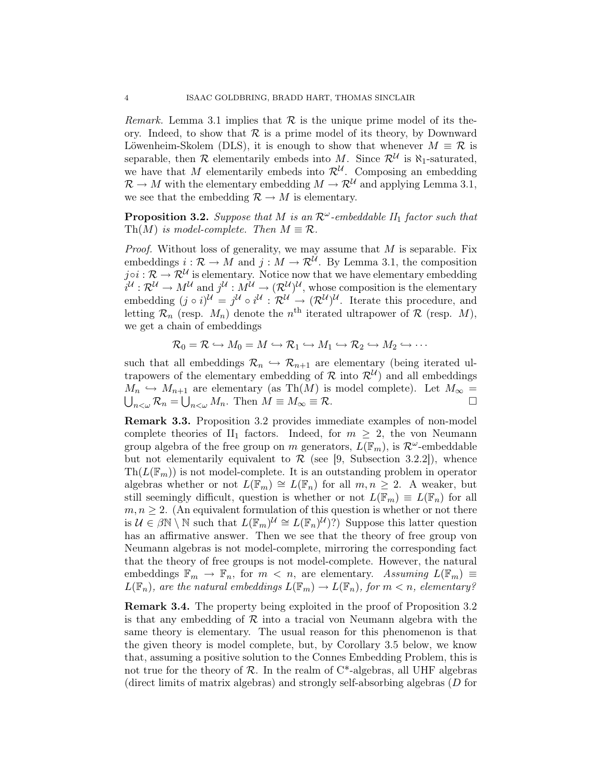*Remark.* Lemma 3.1 implies that  $\mathcal R$  is the unique prime model of its theory. Indeed, to show that  $\mathcal R$  is a prime model of its theory, by Downward Löwenheim-Skolem (DLS), it is enough to show that whenever  $M \equiv \mathcal{R}$  is separable, then  $\mathcal R$  elementarily embeds into M. Since  $\mathcal R^{\mathcal U}$  is  $\aleph_1$ -saturated, we have that M elementarily embeds into  $\mathcal{R}^{\mathcal{U}}$ . Composing an embedding  $\mathcal{R} \to M$  with the elementary embedding  $M \to \mathcal{R}^U$  and applying Lemma 3.1, we see that the embedding  $\mathcal{R} \to M$  is elementary.

**Proposition 3.2.** Suppose that M is an  $\mathcal{R}^{\omega}$ -embeddable  $II_1$  factor such that Th(M) is model-complete. Then  $M \equiv \mathcal{R}$ .

*Proof.* Without loss of generality, we may assume that  $M$  is separable. Fix embeddings  $i : \mathcal{R} \to M$  and  $j : M \to \mathcal{R}^{\mathcal{U}}$ . By Lemma 3.1, the composition  $j \circ i : \mathcal{R} \to \mathcal{R}^{\mathcal{U}}$  is elementary. Notice now that we have elementary embedding  $i^{\mathcal{U}}:\mathcal{R}^{\mathcal{U}}\to M^{\mathcal{U}}$  and  $j^{\mathcal{U}}:M^{\mathcal{U}}\to(\mathcal{R}^{\mathcal{U}})^{\mathcal{U}},$  whose composition is the elementary embedding  $(j \circ i)^{\mathcal{U}} = j^{\mathcal{U}} \circ i^{\mathcal{U}} : \mathcal{R}^{\mathcal{U}} \to (\mathcal{R}^{\mathcal{U}})^{\mathcal{U}}$ . Iterate this procedure, and letting  $\mathcal{R}_n$  (resp.  $M_n$ ) denote the  $n^{\text{th}}$  iterated ultrapower of  $\mathcal{R}$  (resp.  $M$ ), we get a chain of embeddings

$$
\mathcal{R}_0 = \mathcal{R} \hookrightarrow M_0 = M \hookrightarrow \mathcal{R}_1 \hookrightarrow M_1 \hookrightarrow \mathcal{R}_2 \hookrightarrow M_2 \hookrightarrow \cdots
$$

such that all embeddings  $\mathcal{R}_n \hookrightarrow \mathcal{R}_{n+1}$  are elementary (being iterated ultrapowers of the elementary embedding of  $\mathcal{R}$  into  $\mathcal{R}^{U}$  and all embeddings  $M_n \hookrightarrow M_{n+1}$  are elementary (as Th(M) is model complete). Let  $M_\infty =$  $\bigcup_{n<\omega}\mathcal{R}_n=\bigcup_{n<\omega}M_n.$  Then  $M\equiv M_\infty\equiv\mathcal{R}.$ 

Remark 3.3. Proposition 3.2 provides immediate examples of non-model complete theories of  $II_1$  factors. Indeed, for  $m \geq 2$ , the von Neumann group algebra of the free group on m generators,  $L(\mathbb{F}_m)$ , is  $\mathcal{R}^{\omega}$ -embeddable but not elementarily equivalent to  $\mathcal R$  (see [9, Subsection 3.2.2]), whence  $\text{Th}(L(\mathbb{F}_m))$  is not model-complete. It is an outstanding problem in operator algebras whether or not  $L(\mathbb{F}_m) \cong L(\mathbb{F}_n)$  for all  $m, n \geq 2$ . A weaker, but still seemingly difficult, question is whether or not  $L(\mathbb{F}_m) \equiv L(\mathbb{F}_n)$  for all  $m, n \geq 2$ . (An equivalent formulation of this question is whether or not there is  $\mathcal{U} \in \beta \mathbb{N} \setminus \mathbb{N}$  such that  $L(\mathbb{F}_m)^{\mathcal{U}} \cong L(\mathbb{F}_n)^{\mathcal{U}}$  Suppose this latter question has an affirmative answer. Then we see that the theory of free group von Neumann algebras is not model-complete, mirroring the corresponding fact that the theory of free groups is not model-complete. However, the natural embeddings  $\mathbb{F}_m \to \mathbb{F}_n$ , for  $m < n$ , are elementary. Assuming  $L(\mathbb{F}_m) \equiv$  $L(\mathbb{F}_n)$ , are the natural embeddings  $L(\mathbb{F}_m) \to L(\mathbb{F}_n)$ , for  $m < n$ , elementary?

Remark 3.4. The property being exploited in the proof of Proposition 3.2 is that any embedding of  $R$  into a tracial von Neumann algebra with the same theory is elementary. The usual reason for this phenomenon is that the given theory is model complete, but, by Corollary 3.5 below, we know that, assuming a positive solution to the Connes Embedding Problem, this is not true for the theory of  $R$ . In the realm of  $C^*$ -algebras, all UHF algebras (direct limits of matrix algebras) and strongly self-absorbing algebras (D for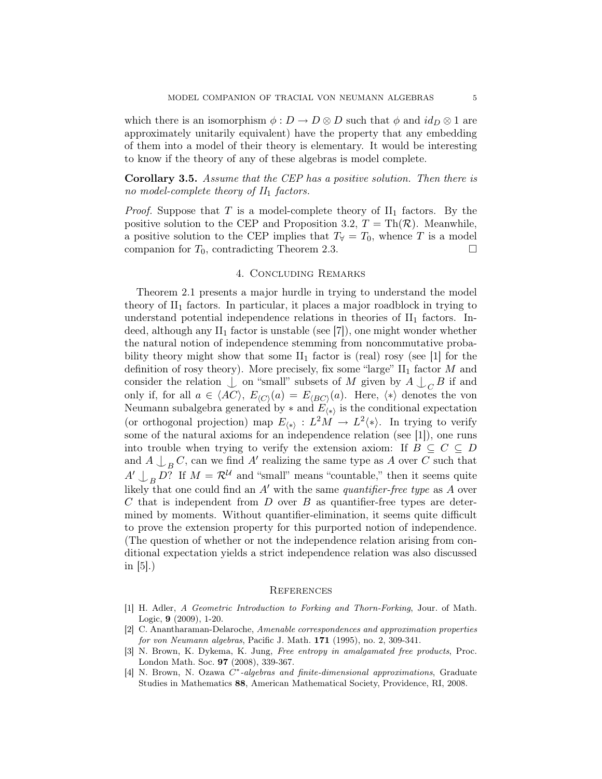which there is an isomorphism  $\phi: D \to D \otimes D$  such that  $\phi$  and  $id_D \otimes 1$  are approximately unitarily equivalent) have the property that any embedding of them into a model of their theory is elementary. It would be interesting to know if the theory of any of these algebras is model complete.

Corollary 3.5. Assume that the CEP has a positive solution. Then there is no model-complete theory of  $II_1$  factors.

*Proof.* Suppose that T is a model-complete theory of  $II_1$  factors. By the positive solution to the CEP and Proposition 3.2,  $T = \text{Th}(\mathcal{R})$ . Meanwhile, a positive solution to the CEP implies that  $T_\forall = T_0$ , whence T is a model companion for  $T_0$ , contradicting Theorem 2.3.

#### 4. Concluding Remarks

Theorem 2.1 presents a major hurdle in trying to understand the model theory of  $II_1$  factors. In particular, it places a major roadblock in trying to understand potential independence relations in theories of  $II_1$  factors. Indeed, although any  $II_1$  factor is unstable (see [7]), one might wonder whether the natural notion of independence stemming from noncommutative probability theory might show that some  $II_1$  factor is (real) rosy (see [1] for the definition of rosy theory). More precisely, fix some "large"  $\text{II}_1$  factor M and consider the relation  $\bigcup$  on "small" subsets of M given by  $A \bigcup_C B$  if and only if, for all  $a \in \langle AC \rangle$ ,  $E_{\langle C \rangle}(a) = E_{\langle BC \rangle}(a)$ . Here,  $\langle * \rangle$  denotes the von Neumann subalgebra generated by  $*$  and  $E_{(*)}$  is the conditional expectation (or orthogonal projection) map  $E_{\langle * \rangle}: L^2M \to L^2\langle * \rangle$ . In trying to verify some of the natural axioms for an independence relation (see [1]), one runs into trouble when trying to verify the extension axiom: If  $B \subseteq C \subseteq D$ and  $A \bigcup_B C$ , can we find A' realizing the same type as A over C such that  $A' \bigcup_B D$ ? If  $M = \mathcal{R}^{\mathcal{U}}$  and "small" means "countable," then it seems quite likely that one could find an  $A'$  with the same quantifier-free type as A over  $C$  that is independent from  $D$  over  $B$  as quantifier-free types are determined by moments. Without quantifier-elimination, it seems quite difficult to prove the extension property for this purported notion of independence. (The question of whether or not the independence relation arising from conditional expectation yields a strict independence relation was also discussed in [5].)

#### **REFERENCES**

- [1] H. Adler, A Geometric Introduction to Forking and Thorn-Forking, Jour. of Math. Logic, 9 (2009), 1-20.
- [2] C. Anantharaman-Delaroche, Amenable correspondences and approximation properties for von Neumann algebras, Pacific J. Math. 171 (1995), no. 2, 309-341.
- [3] N. Brown, K. Dykema, K. Jung, Free entropy in amalgamated free products, Proc. London Math. Soc. 97 (2008), 339-367.
- [4] N. Brown, N. Ozawa C<sup>\*</sup>-algebras and finite-dimensional approximations, Graduate Studies in Mathematics 88, American Mathematical Society, Providence, RI, 2008.